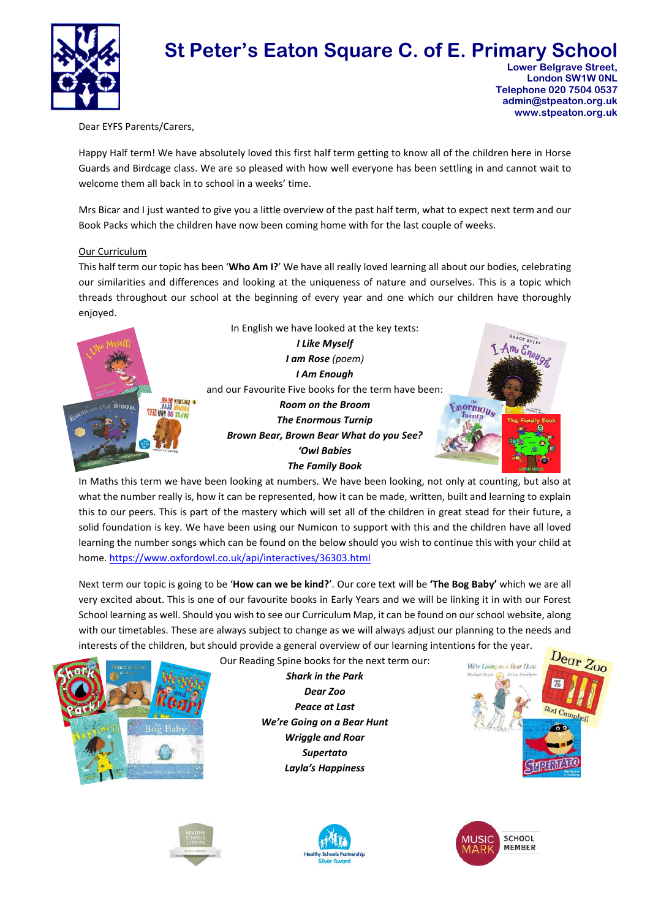

# **St Peter's Eaton Square C. of E. Primary School Lower Belgrave Street.**

 **London SW1W 0NL Telephone 020 7504 0537 admin@stpeaton.org.uk www.stpeaton.org.uk**

Dear EYFS Parents/Carers,

Happy Half term! We have absolutely loved this first half term getting to know all of the children here in Horse Guards and Birdcage class. We are so pleased with how well everyone has been settling in and cannot wait to welcome them all back in to school in a weeks' time.

Mrs Bicar and I just wanted to give you a little overview of the past half term, what to expect next term and our Book Packs which the children have now been coming home with for the last couple of weeks.

## Our Curriculum

This half term our topic has been '**Who Am I?**' We have all really loved learning all about our bodies, celebrating our similarities and differences and looking at the uniqueness of nature and ourselves. This is a topic which threads throughout our school at the beginning of every year and one which our children have thoroughly enjoyed.



In Maths this term we have been looking at numbers. We have been looking, not only at counting, but also at what the number really is, how it can be represented, how it can be made, written, built and learning to explain this to our peers. This is part of the mastery which will set all of the children in great stead for their future, a solid foundation is key. We have been using our Numicon to support with this and the children have all loved learning the number songs which can be found on the below should you wish to continue this with your child at home. https://www.oxfordowl.co.uk/api/interactives/36303.html

Next term our topic is going to be '**How can we be kind?**'. Our core text will be **'The Bog Baby'** which we are all very excited about. This is one of our favourite books in Early Years and we will be linking it in with our Forest School learning as well. Should you wish to see our Curriculum Map, it can be found on our school website, along with our timetables. These are always subject to change as we will always adjust our planning to the needs and interests of the children, but should provide a general overview of our learning intentions for the year.

> *Shark in the Park Dear Zoo Peace at Last We're Going on a Bear Hunt Wriggle and Roar Supertato Layla's Happiness*